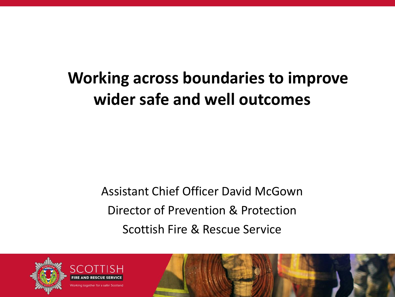## **Working across boundaries to improve wider safe and well outcomes**

Assistant Chief Officer David McGown Director of Prevention & Protection Scottish Fire & Rescue Service





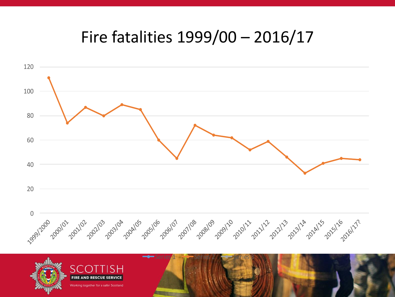#### Fire fatalities 1999/00 – 2016/17



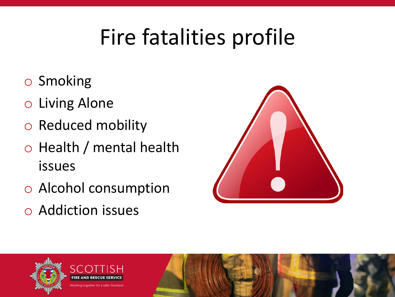# Fire fatalities profile

- o Smoking
- o Living Alone
- o Reduced mobility
- o Health / mental health issues
- o Alcohol consumption
- o Addiction issues



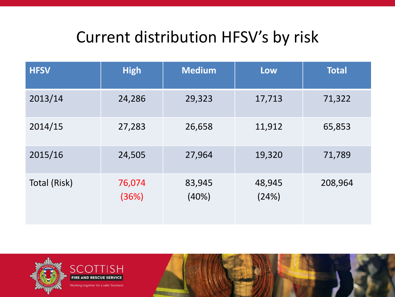### Current distribution HFSV's by risk

| <b>HFSV</b>  | <b>High</b>     | <b>Medium</b>   | Low             | <b>Total</b> |
|--------------|-----------------|-----------------|-----------------|--------------|
| 2013/14      | 24,286          | 29,323          | 17,713          | 71,322       |
| 2014/15      | 27,283          | 26,658          | 11,912          | 65,853       |
| 2015/16      | 24,505          | 27,964          | 19,320          | 71,789       |
| Total (Risk) | 76,074<br>(36%) | 83,945<br>(40%) | 48,945<br>(24%) | 208,964      |

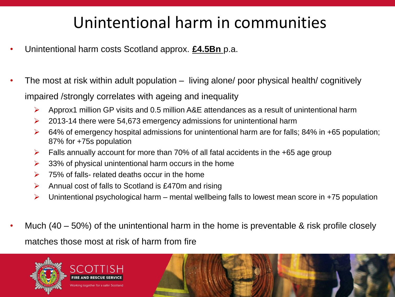### Unintentional harm in communities

- Unintentional harm costs Scotland approx. **£4.5Bn** p.a.
- The most at risk within adult population living alone/ poor physical health/ cognitively impaired /strongly correlates with ageing and inequality
	- $\triangleright$  Approx1 million GP visits and 0.5 million A&E attendances as a result of unintentional harm
	- $\geq$  2013-14 there were 54,673 emergency admissions for unintentional harm
	- $\triangleright$  64% of emergency hospital admissions for unintentional harm are for falls; 84% in +65 population; 87% for +75s population
	- $\triangleright$  Falls annually account for more than 70% of all fatal accidents in the +65 age group
	- $\geq$  33% of physical unintentional harm occurs in the home
	- $\triangleright$  75% of falls- related deaths occur in the home
	- $\triangleright$  Annual cost of falls to Scotland is £470m and rising
	- $\triangleright$  Unintentional psychological harm mental wellbeing falls to lowest mean score in +75 population
- Much  $(40 50%)$  of the unintentional harm in the home is preventable & risk profile closely matches those most at risk of harm from fire

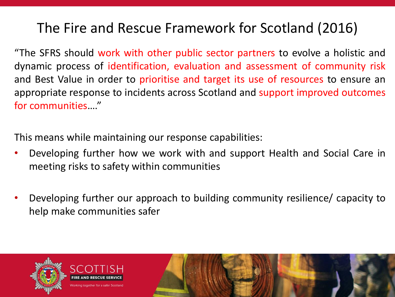#### The Fire and Rescue Framework for Scotland (2016)

"The SFRS should work with other public sector partners to evolve a holistic and dynamic process of identification, evaluation and assessment of community risk and Best Value in order to prioritise and target its use of resources to ensure an appropriate response to incidents across Scotland and support improved outcomes for communities…."

This means while maintaining our response capabilities:

- Developing further how we work with and support Health and Social Care in meeting risks to safety within communities
- Developing further our approach to building community resilience/ capacity to help make communities safer

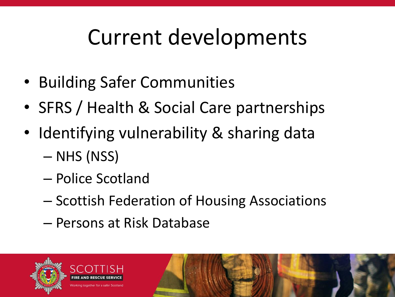# Current developments

- Building Safer Communities
- SFRS / Health & Social Care partnerships
- Identifying vulnerability & sharing data
	- NHS (NSS)
	- Police Scotland
	- Scottish Federation of Housing Associations
	- Persons at Risk Database

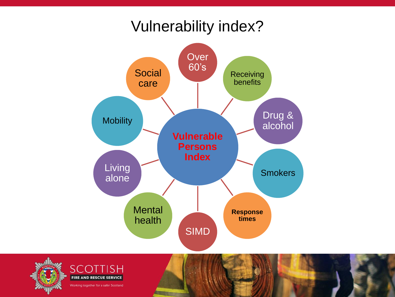#### Vulnerability index?



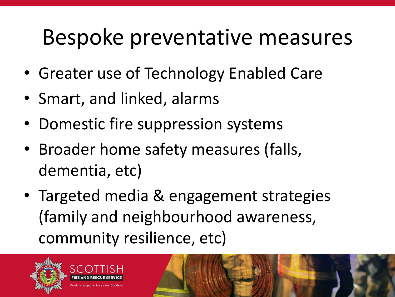## Bespoke preventative measures

- Greater use of Technology Enabled Care
- Smart, and linked, alarms
- Domestic fire suppression systems
- Broader home safety measures (falls, dementia, etc)
- Targeted media & engagement strategies (family and neighbourhood awareness, community resilience, etc)